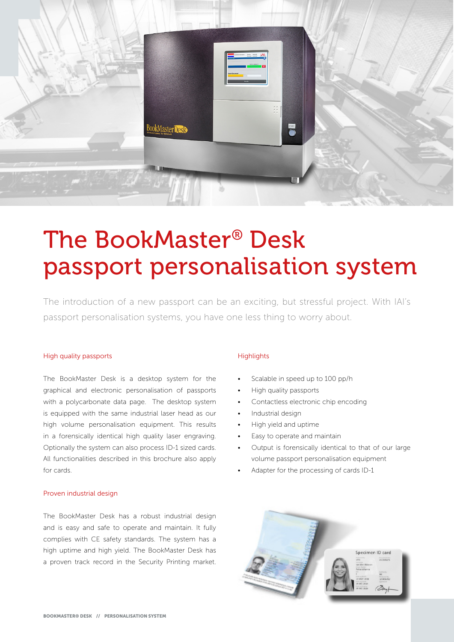

# The BookMaster® Desk passport personalisation system

The introduction of a new passport can be an exciting, but stressful project. With IAI's passport personalisation systems, you have one less thing to worry about.

#### High quality passports

The BookMaster Desk is a desktop system for the graphical and electronic personalisation of passports with a polycarbonate data page. The desktop system is equipped with the same industrial laser head as our high volume personalisation equipment. This results in a forensically identical high quality laser engraving. Optionally the system can also process ID-1 sized cards. All functionalities described in this brochure also apply for cards.

#### Proven industrial design

The BookMaster Desk has a robust industrial design and is easy and safe to operate and maintain. It fully complies with CE safety standards. The system has a high uptime and high yield. The BookMaster Desk has a proven track record in the Security Printing market.

#### **Highlights**

- Scalable in speed up to 100 pp/h
- High quality passports
- Contactless electronic chip encoding
- Industrial design
- High yield and uptime
- Easy to operate and maintain
- Output is forensically identical to that of our large volume passport personalisation equipment
- Adapter for the processing of cards ID-1